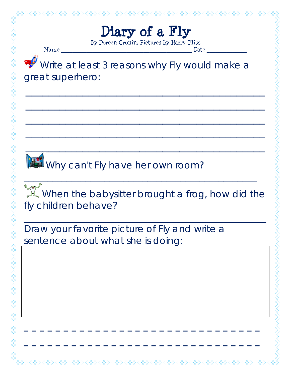## **Diary of a Fly**

By Doreen Cronin, Pictures by Harry Bliss

Name \_\_\_\_\_\_\_\_\_\_\_\_\_\_\_\_\_\_\_\_\_\_\_\_\_\_\_\_\_\_\_\_\_\_\_\_\_\_\_\_\_\_\_\_\_\_ Date \_\_\_\_\_\_\_\_\_\_\_\_\_\_

N<br>N

Write at least 3 reasons why Fly would make a great superhero:

 $\overline{\phantom{a}}$  , and the contract of the contract of the contract of the contract of the contract of the contract of the contract of the contract of the contract of the contract of the contract of the contract of the contrac

 $\overline{\phantom{a}}$  , and the contract of the contract of the contract of the contract of the contract of the contract of the contract of the contract of the contract of the contract of the contract of the contract of the contrac

 $\overline{\phantom{a}}$  , and the contract of the contract of the contract of the contract of the contract of the contract of the contract of the contract of the contract of the contract of the contract of the contract of the contrac

 $\overline{\phantom{a}}$  , and the contract of the contract of the contract of the contract of the contract of the contract of the contract of the contract of the contract of the contract of the contract of the contract of the contrac

 $\overline{\phantom{a}}$  ,  $\overline{\phantom{a}}$  ,  $\overline{\phantom{a}}$  ,  $\overline{\phantom{a}}$  ,  $\overline{\phantom{a}}$  ,  $\overline{\phantom{a}}$  ,  $\overline{\phantom{a}}$  ,  $\overline{\phantom{a}}$  ,  $\overline{\phantom{a}}$  ,  $\overline{\phantom{a}}$  ,  $\overline{\phantom{a}}$  ,  $\overline{\phantom{a}}$  ,  $\overline{\phantom{a}}$  ,  $\overline{\phantom{a}}$  ,  $\overline{\phantom{a}}$  ,  $\overline{\phantom{a}}$ 

Why can't Fly have her own room?

 $\mathbb{X}$  When the babysitter brought a frog, how did the fly children behave?

 $\mathcal{L}_\text{max}$  and  $\mathcal{L}_\text{max}$  and  $\mathcal{L}_\text{max}$  and  $\mathcal{L}_\text{max}$  and  $\mathcal{L}_\text{max}$  and  $\mathcal{L}_\text{max}$ 

 $\mathcal{L}_\text{max}$  and  $\mathcal{L}_\text{max}$  and  $\mathcal{L}_\text{max}$  and  $\mathcal{L}_\text{max}$  and  $\mathcal{L}_\text{max}$  and  $\mathcal{L}_\text{max}$ 

 $\mathcal{L}_\text{max}$  and  $\mathcal{L}_\text{max}$  and  $\mathcal{L}_\text{max}$  and  $\mathcal{L}_\text{max}$  and  $\mathcal{L}_\text{max}$ 

 $\overline{\phantom{a}}$  , and the contract of the contract of the contract of the contract of the contract of the contract of the contract of the contract of the contract of the contract of the contract of the contract of the contrac

Draw your favorite picture of Fly and write a sentence about what she is doing: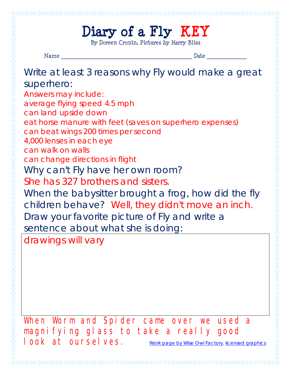## **Diary of a Fly KEY**

By Doreen Cronin, Pictures by Harry Bliss

The Samuel Samuel Samuel Samuel Samuel Samuel Samuel Samuel Samuel Samuel Samuel Samuel Samuel Samuel Samuel S Name \_\_\_\_\_\_\_\_\_\_\_\_\_\_\_\_\_\_\_\_\_\_\_\_\_\_\_\_\_\_\_\_\_\_\_\_\_\_\_\_\_\_\_\_\_\_ Date \_\_\_\_\_\_\_\_\_\_\_\_\_\_ Write at least 3 reasons why Fly would make a great eat horse manure with feet (saves on superhero expenses) When the babysitter brought a frog, how did the fly children behave? Well, they didn't move an inch. When Worm and Spider came over we used a magnifying glass to take a really good | OOK at OUCSE Ves. Work page by Wise Owl Factory, licensed graphics

superhero: *Answers may include:* average flying speed 4.5 mph can land upside down can beat wings 200 times per second 4,000 lenses in each eye can walk on walls can change directions in flight Why can't Fly have her own room? She has 327 brothers and sisters. Draw your favorite picture of Fly and write a sentence about what she is doing: drawings will vary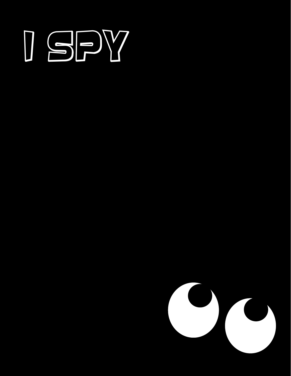## ISBY

- 
- 
- 
- 
- 
- 
- 
- -
- 
- - -
		-
- 
-